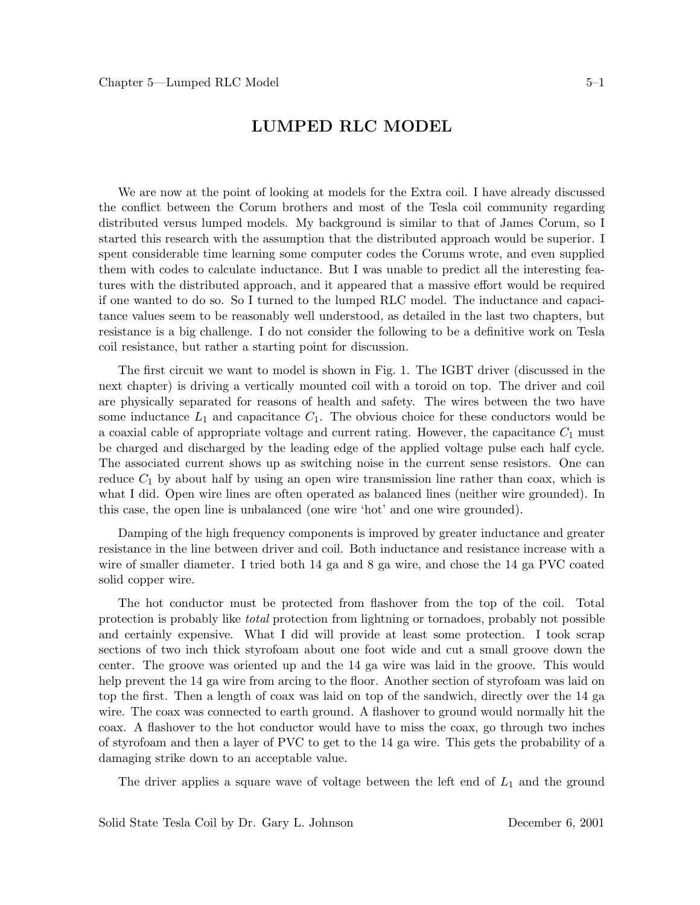### **LUMPED RLC MODEL**

We are now at the point of looking at models for the Extra coil. I have already discussed the conflict between the Corum brothers and most of the Tesla coil community regarding distributed versus lumped models. My background is similar to that of James Corum, so I started this research with the assumption that the distributed approach would be superior. I spent considerable time learning some computer codes the Corums wrote, and even supplied them with codes to calculate inductance. But I was unable to predict all the interesting features with the distributed approach, and it appeared that a massive effort would be required if one wanted to do so. So I turned to the lumped RLC model. The inductance and capacitance values seem to be reasonably well understood, as detailed in the last two chapters, but resistance is a big challenge. I do not consider the following to be a definitive work on Tesla coil resistance, but rather a starting point for discussion.

The first circuit we want to model is shown in Fig. 1. The IGBT driver (discussed in the next chapter) is driving a vertically mounted coil with a toroid on top. The driver and coil are physically separated for reasons of health and safety. The wires between the two have some inductance  $L_1$  and capacitance  $C_1$ . The obvious choice for these conductors would be a coaxial cable of appropriate voltage and current rating. However, the capacitance  $C_1$  must be charged and discharged by the leading edge of the applied voltage pulse each half cycle. The associated current shows up as switching noise in the current sense resistors. One can reduce  $C_1$  by about half by using an open wire transmission line rather than coax, which is what I did. Open wire lines are often operated as balanced lines (neither wire grounded). In this case, the open line is unbalanced (one wire 'hot' and one wire grounded).

Damping of the high frequency components is improved by greater inductance and greater resistance in the line between driver and coil. Both inductance and resistance increase with a wire of smaller diameter. I tried both 14 ga and 8 ga wire, and chose the 14 ga PVC coated solid copper wire.

The hot conductor must be protected from flashover from the top of the coil. Total protection is probably like *total* protection from lightning or tornadoes, probably not possible and certainly expensive. What I did will provide at least some protection. I took scrap sections of two inch thick styrofoam about one foot wide and cut a small groove down the center. The groove was oriented up and the 14 ga wire was laid in the groove. This would help prevent the 14 ga wire from arcing to the floor. Another section of styrofoam was laid on top the first. Then a length of coax was laid on top of the sandwich, directly over the 14 ga wire. The coax was connected to earth ground. A flashover to ground would normally hit the coax. A flashover to the hot conductor would have to miss the coax, go through two inches of styrofoam and then a layer of PVC to get to the 14 ga wire. This gets the probability of a damaging strike down to an acceptable value.

The driver applies a square wave of voltage between the left end of  $L_1$  and the ground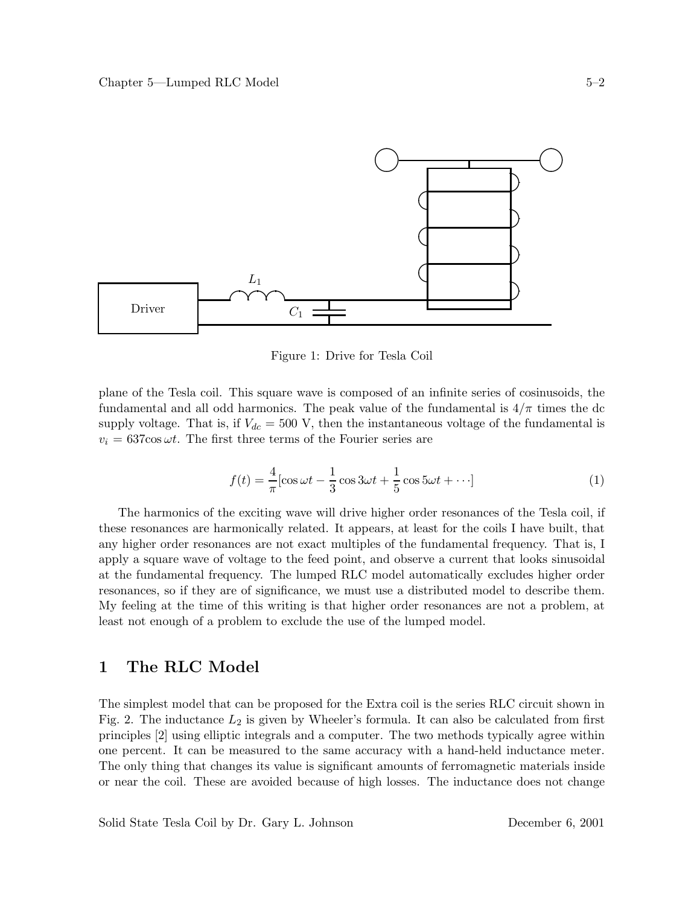

Figure 1: Drive for Tesla Coil

plane of the Tesla coil. This square wave is composed of an infinite series of cosinusoids, the fundamental and all odd harmonics. The peak value of the fundamental is  $4/\pi$  times the dc supply voltage. That is, if  $V_{dc} = 500$  V, then the instantaneous voltage of the fundamental is  $v_i = 637 \cos \omega t$ . The first three terms of the Fourier series are

$$
f(t) = \frac{4}{\pi} [\cos \omega t - \frac{1}{3} \cos 3\omega t + \frac{1}{5} \cos 5\omega t + \cdots]
$$
 (1)

The harmonics of the exciting wave will drive higher order resonances of the Tesla coil, if these resonances are harmonically related. It appears, at least for the coils I have built, that any higher order resonances are not exact multiples of the fundamental frequency. That is, I apply a square wave of voltage to the feed point, and observe a current that looks sinusoidal at the fundamental frequency. The lumped RLC model automatically excludes higher order resonances, so if they are of significance, we must use a distributed model to describe them. My feeling at the time of this writing is that higher order resonances are not a problem, at least not enough of a problem to exclude the use of the lumped model.

# **1 The RLC Model**

The simplest model that can be proposed for the Extra coil is the series RLC circuit shown in Fig. 2. The inductance  $L_2$  is given by Wheeler's formula. It can also be calculated from first principles [2] using elliptic integrals and a computer. The two methods typically agree within one percent. It can be measured to the same accuracy with a hand-held inductance meter. The only thing that changes its value is significant amounts of ferromagnetic materials inside or near the coil. These are avoided because of high losses. The inductance does not change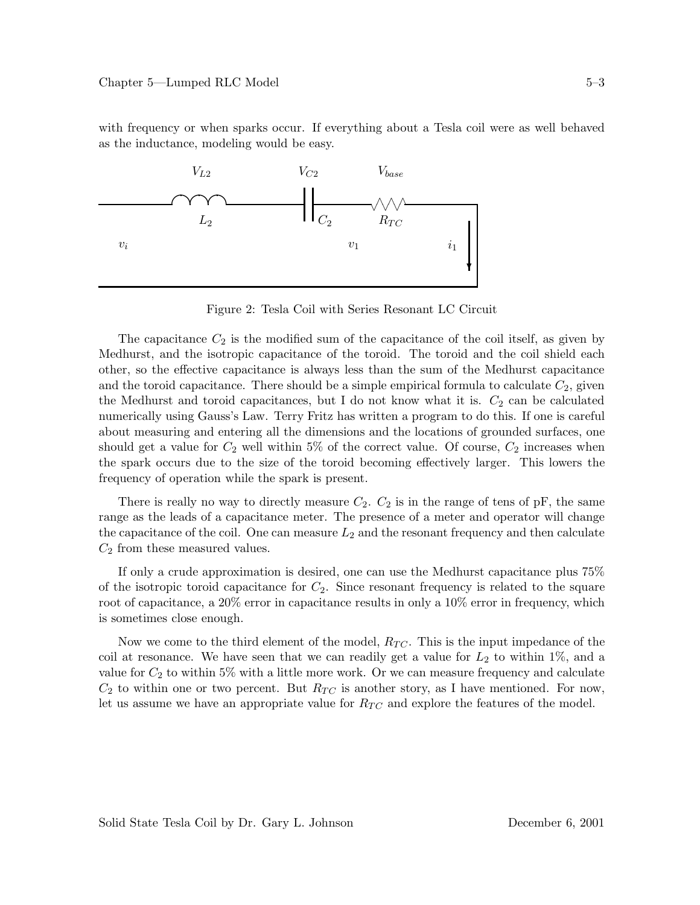with frequency or when sparks occur. If everything about a Tesla coil were as well behaved as the inductance, modeling would be easy.



Figure 2: Tesla Coil with Series Resonant LC Circuit

The capacitance  $C_2$  is the modified sum of the capacitance of the coil itself, as given by Medhurst, and the isotropic capacitance of the toroid. The toroid and the coil shield each other, so the effective capacitance is always less than the sum of the Medhurst capacitance and the toroid capacitance. There should be a simple empirical formula to calculate  $C_2$ , given the Medhurst and toroid capacitances, but I do not know what it is.  $C_2$  can be calculated numerically using Gauss's Law. Terry Fritz has written a program to do this. If one is careful about measuring and entering all the dimensions and the locations of grounded surfaces, one should get a value for  $C_2$  well within 5% of the correct value. Of course,  $C_2$  increases when the spark occurs due to the size of the toroid becoming effectively larger. This lowers the frequency of operation while the spark is present.

There is really no way to directly measure  $C_2$ .  $C_2$  is in the range of tens of pF, the same range as the leads of a capacitance meter. The presence of a meter and operator will change the capacitance of the coil. One can measure  $L_2$  and the resonant frequency and then calculate  $C_2$  from these measured values.

If only a crude approximation is desired, one can use the Medhurst capacitance plus 75% of the isotropic toroid capacitance for  $C_2$ . Since resonant frequency is related to the square root of capacitance, a 20% error in capacitance results in only a 10% error in frequency, which is sometimes close enough.

Now we come to the third element of the model,  $R_{TC}$ . This is the input impedance of the coil at resonance. We have seen that we can readily get a value for  $L_2$  to within 1%, and a value for  $C_2$  to within 5% with a little more work. Or we can measure frequency and calculate  $C_2$  to within one or two percent. But  $R_{TC}$  is another story, as I have mentioned. For now, let us assume we have an appropriate value for  $R_{TC}$  and explore the features of the model.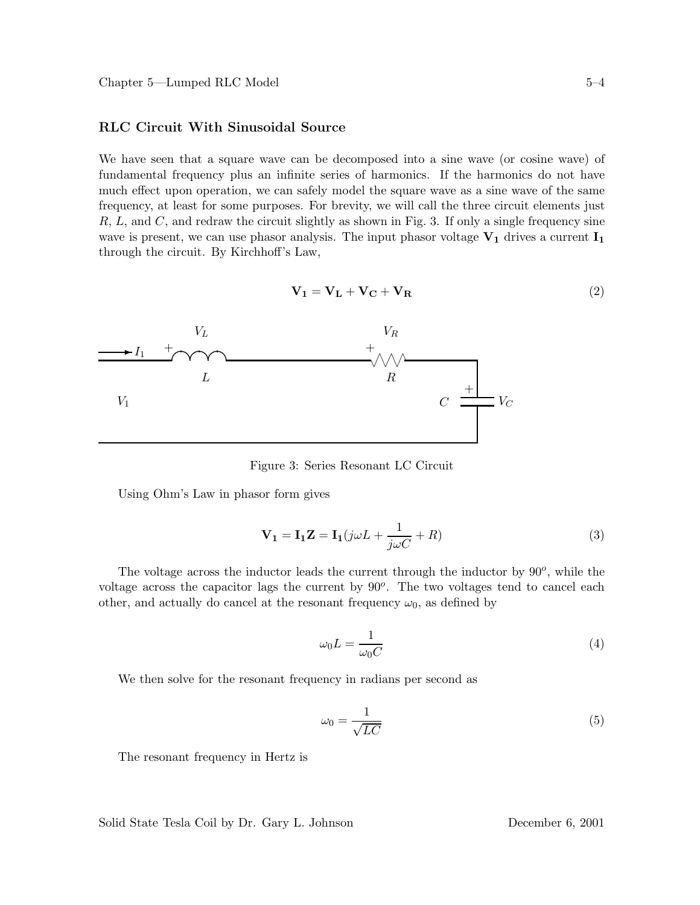#### **RLC Circuit With Sinusoidal Source**

We have seen that a square wave can be decomposed into a sine wave (or cosine wave) of fundamental frequency plus an infinite series of harmonics. If the harmonics do not have much effect upon operation, we can safely model the square wave as a sine wave of the same frequency, at least for some purposes. For brevity, we will call the three circuit elements just  $R, L, \text{ and } C, \text{ and redraw the circuit slightly as shown in Fig. 3. If only a single frequency sine.}$ wave is present, we can use phasor analysis. The input phasor voltage **V<sup>1</sup>** drives a current **I<sup>1</sup>** through the circuit. By Kirchhoff's Law,

$$
\mathbf{V}_1 = \mathbf{V}_L + \mathbf{V}_C + \mathbf{V}_R \tag{2}
$$



Figure 3: Series Resonant LC Circuit

Using Ohm's Law in phasor form gives

$$
\mathbf{V}_1 = \mathbf{I}_1 \mathbf{Z} = \mathbf{I}_1 (j\omega L + \frac{1}{j\omega C} + R) \tag{3}
$$

The voltage across the inductor leads the current through the inductor by 90*o*, while the voltage across the capacitor lags the current by 90*o*. The two voltages tend to cancel each other, and actually do cancel at the resonant frequency  $\omega_0$ , as defined by

$$
\omega_0 L = \frac{1}{\omega_0 C} \tag{4}
$$

We then solve for the resonant frequency in radians per second as

$$
\omega_0 = \frac{1}{\sqrt{LC}}\tag{5}
$$

The resonant frequency in Hertz is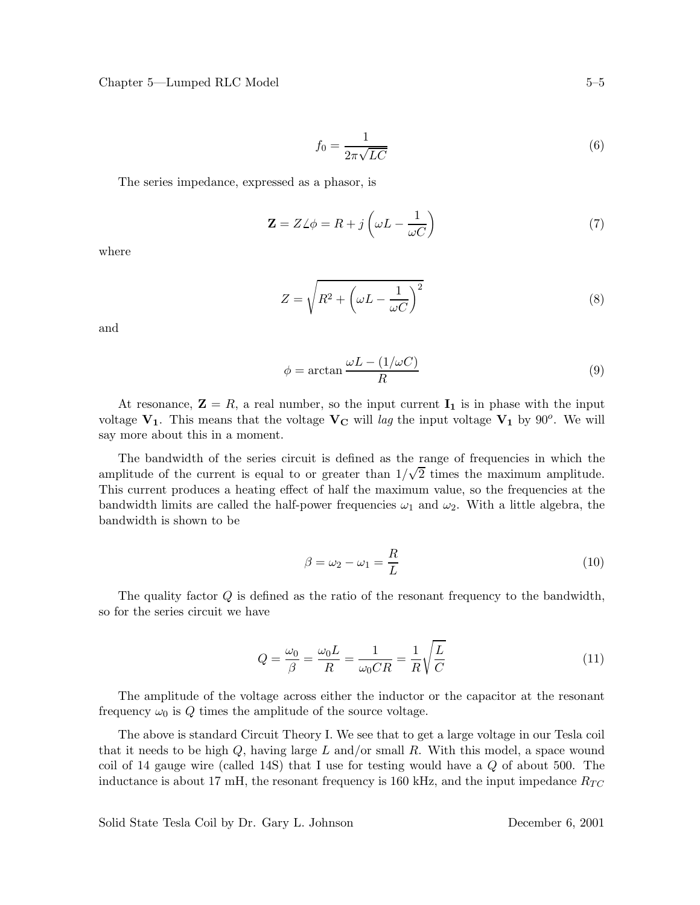$$
f_0 = \frac{1}{2\pi\sqrt{LC}}\tag{6}
$$

The series impedance, expressed as a phasor, is

$$
\mathbf{Z} = Z \angle \phi = R + j \left( \omega L - \frac{1}{\omega C} \right) \tag{7}
$$

where

$$
Z = \sqrt{R^2 + \left(\omega L - \frac{1}{\omega C}\right)^2} \tag{8}
$$

and

$$
\phi = \arctan \frac{\omega L - (1/\omega C)}{R}
$$
\n(9)

At resonance,  $\mathbf{Z} = R$ , a real number, so the input current  $\mathbf{I}_1$  is in phase with the input voltage  $V_1$ . This means that the voltage  $V_C$  will lag the input voltage  $V_1$  by 90<sup>o</sup>. We will say more about this in a moment.

The bandwidth of the series circuit is defined as the range of frequencies in which the amplitude of the current is equal to or greater than  $1/\sqrt{2}$  times the maximum amplitude. This current produces a heating effect of half the maximum value, so the frequencies at the bandwidth limits are called the half-power frequencies  $\omega_1$  and  $\omega_2$ . With a little algebra, the bandwidth is shown to be

$$
\beta = \omega_2 - \omega_1 = \frac{R}{L} \tag{10}
$$

The quality factor Q is defined as the ratio of the resonant frequency to the bandwidth, so for the series circuit we have

$$
Q = \frac{\omega_0}{\beta} = \frac{\omega_0 L}{R} = \frac{1}{\omega_0 CR} = \frac{1}{R} \sqrt{\frac{L}{C}}
$$
\n(11)

The amplitude of the voltage across either the inductor or the capacitor at the resonant frequency  $\omega_0$  is Q times the amplitude of the source voltage.

The above is standard Circuit Theory I. We see that to get a large voltage in our Tesla coil that it needs to be high  $Q$ , having large L and/or small R. With this model, a space wound coil of 14 gauge wire (called 14S) that I use for testing would have a  $Q$  of about 500. The inductance is about 17 mH, the resonant frequency is 160 kHz, and the input impedance  $R_{TC}$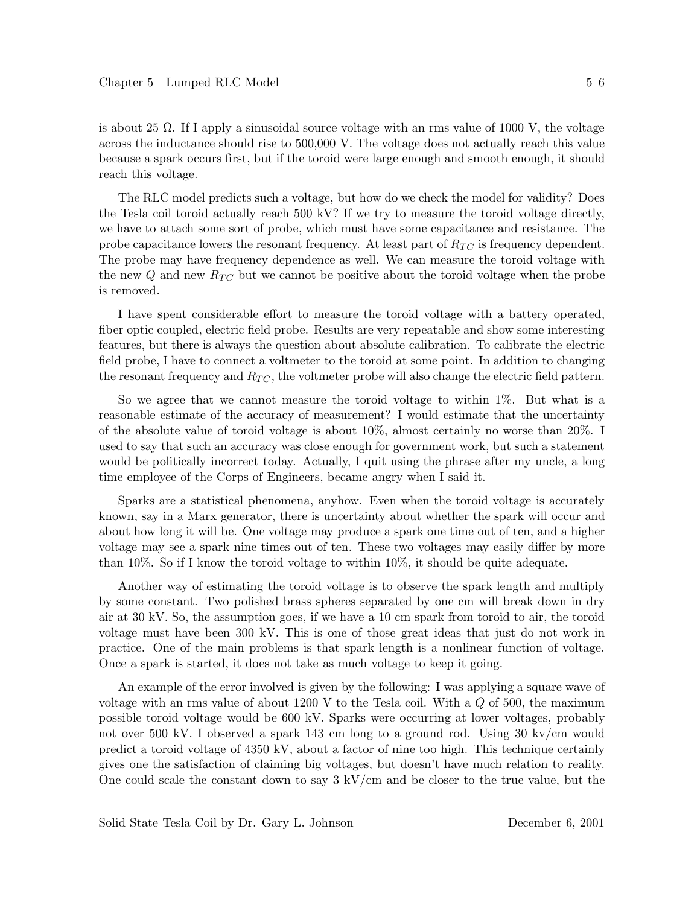is about 25  $\Omega$ . If I apply a sinusoidal source voltage with an rms value of 1000 V, the voltage across the inductance should rise to 500,000 V. The voltage does not actually reach this value because a spark occurs first, but if the toroid were large enough and smooth enough, it should reach this voltage.

The RLC model predicts such a voltage, but how do we check the model for validity? Does the Tesla coil toroid actually reach 500 kV? If we try to measure the toroid voltage directly, we have to attach some sort of probe, which must have some capacitance and resistance. The probe capacitance lowers the resonant frequency. At least part of  $R_{TC}$  is frequency dependent. The probe may have frequency dependence as well. We can measure the toroid voltage with the new  $Q$  and new  $R_{TC}$  but we cannot be positive about the toroid voltage when the probe is removed.

I have spent considerable effort to measure the toroid voltage with a battery operated, fiber optic coupled, electric field probe. Results are very repeatable and show some interesting features, but there is always the question about absolute calibration. To calibrate the electric field probe, I have to connect a voltmeter to the toroid at some point. In addition to changing the resonant frequency and  $R_{TC}$ , the voltmeter probe will also change the electric field pattern.

So we agree that we cannot measure the toroid voltage to within 1%. But what is a reasonable estimate of the accuracy of measurement? I would estimate that the uncertainty of the absolute value of toroid voltage is about 10%, almost certainly no worse than 20%. I used to say that such an accuracy was close enough for government work, but such a statement would be politically incorrect today. Actually, I quit using the phrase after my uncle, a long time employee of the Corps of Engineers, became angry when I said it.

Sparks are a statistical phenomena, anyhow. Even when the toroid voltage is accurately known, say in a Marx generator, there is uncertainty about whether the spark will occur and about how long it will be. One voltage may produce a spark one time out of ten, and a higher voltage may see a spark nine times out of ten. These two voltages may easily differ by more than 10%. So if I know the toroid voltage to within 10%, it should be quite adequate.

Another way of estimating the toroid voltage is to observe the spark length and multiply by some constant. Two polished brass spheres separated by one cm will break down in dry air at 30 kV. So, the assumption goes, if we have a 10 cm spark from toroid to air, the toroid voltage must have been 300 kV. This is one of those great ideas that just do not work in practice. One of the main problems is that spark length is a nonlinear function of voltage. Once a spark is started, it does not take as much voltage to keep it going.

An example of the error involved is given by the following: I was applying a square wave of voltage with an rms value of about  $1200$  V to the Tesla coil. With a  $Q$  of 500, the maximum possible toroid voltage would be 600 kV. Sparks were occurring at lower voltages, probably not over 500 kV. I observed a spark 143 cm long to a ground rod. Using 30 kv/cm would predict a toroid voltage of 4350 kV, about a factor of nine too high. This technique certainly gives one the satisfaction of claiming big voltages, but doesn't have much relation to reality. One could scale the constant down to say 3 kV/cm and be closer to the true value, but the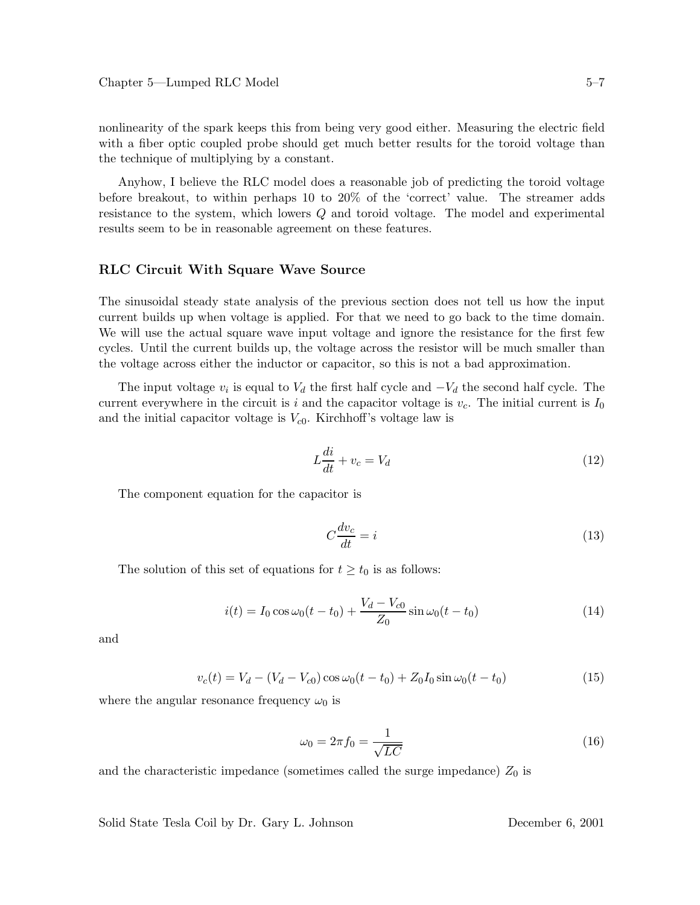nonlinearity of the spark keeps this from being very good either. Measuring the electric field with a fiber optic coupled probe should get much better results for the toroid voltage than the technique of multiplying by a constant.

Anyhow, I believe the RLC model does a reasonable job of predicting the toroid voltage before breakout, to within perhaps 10 to 20% of the 'correct' value. The streamer adds resistance to the system, which lowers Q and toroid voltage. The model and experimental results seem to be in reasonable agreement on these features.

#### **RLC Circuit With Square Wave Source**

The sinusoidal steady state analysis of the previous section does not tell us how the input current builds up when voltage is applied. For that we need to go back to the time domain. We will use the actual square wave input voltage and ignore the resistance for the first few cycles. Until the current builds up, the voltage across the resistor will be much smaller than the voltage across either the inductor or capacitor, so this is not a bad approximation.

The input voltage  $v_i$  is equal to  $V_d$  the first half cycle and  $-V_d$  the second half cycle. The current everywhere in the circuit is i and the capacitor voltage is  $v_c$ . The initial current is  $I_0$ and the initial capacitor voltage is  $V_{c0}$ . Kirchhoff's voltage law is

$$
L\frac{di}{dt} + v_c = V_d \tag{12}
$$

The component equation for the capacitor is

$$
C\frac{dv_c}{dt} = i\tag{13}
$$

The solution of this set of equations for  $t \geq t_0$  is as follows:

$$
i(t) = I_0 \cos \omega_0 (t - t_0) + \frac{V_d - V_{c0}}{Z_0} \sin \omega_0 (t - t_0)
$$
\n(14)

and

$$
v_c(t) = V_d - (V_d - V_{c0}) \cos \omega_0 (t - t_0) + Z_0 I_0 \sin \omega_0 (t - t_0)
$$
\n(15)

where the angular resonance frequency  $\omega_0$  is

$$
\omega_0 = 2\pi f_0 = \frac{1}{\sqrt{LC}}\tag{16}
$$

and the characteristic impedance (sometimes called the surge impedance)  $Z_0$  is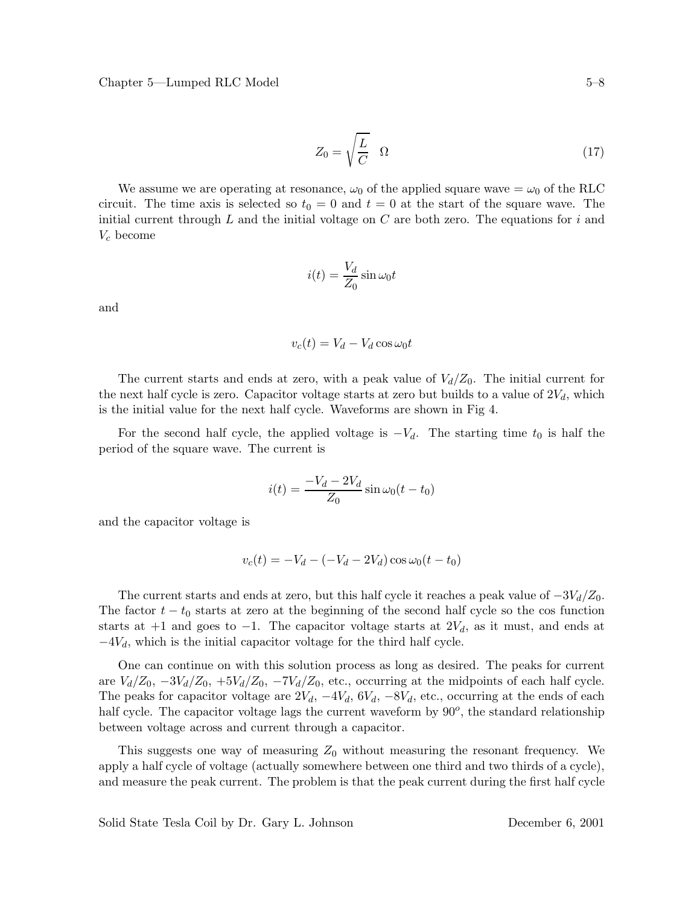$$
Z_0 = \sqrt{\frac{L}{C}} \quad \Omega \tag{17}
$$

We assume we are operating at resonance,  $\omega_0$  of the applied square wave  $=\omega_0$  of the RLC circuit. The time axis is selected so  $t_0 = 0$  and  $t = 0$  at the start of the square wave. The initial current through L and the initial voltage on  $C$  are both zero. The equations for i and V*<sup>c</sup>* become

$$
i(t) = \frac{V_d}{Z_0} \sin \omega_0 t
$$

and

$$
v_c(t) = V_d - V_d \cos \omega_0 t
$$

The current starts and ends at zero, with a peak value of  $V_d/Z_0$ . The initial current for the next half cycle is zero. Capacitor voltage starts at zero but builds to a value of  $2V<sub>d</sub>$ , which is the initial value for the next half cycle. Waveforms are shown in Fig 4.

For the second half cycle, the applied voltage is  $-V_d$ . The starting time  $t_0$  is half the period of the square wave. The current is

$$
i(t) = \frac{-V_d - 2V_d}{Z_0} \sin \omega_0 (t - t_0)
$$

and the capacitor voltage is

$$
v_c(t) = -V_d - (-V_d - 2V_d)\cos\omega_0(t - t_0)
$$

The current starts and ends at zero, but this half cycle it reaches a peak value of  $-3V_d/Z_0$ . The factor  $t - t_0$  starts at zero at the beginning of the second half cycle so the cos function starts at  $+1$  and goes to  $-1$ . The capacitor voltage starts at  $2V_d$ , as it must, and ends at  $-4V_d$ , which is the initial capacitor voltage for the third half cycle.

One can continue on with this solution process as long as desired. The peaks for current are  $V_d/Z_0$ ,  $-3V_d/Z_0$ ,  $+5V_d/Z_0$ ,  $-7V_d/Z_0$ , etc., occurring at the midpoints of each half cycle. The peaks for capacitor voltage are  $2V_d$ ,  $-4V_d$ ,  $6V_d$ ,  $-8V_d$ , etc., occurring at the ends of each half cycle. The capacitor voltage lags the current waveform by 90*o*, the standard relationship between voltage across and current through a capacitor.

This suggests one way of measuring  $Z_0$  without measuring the resonant frequency. We apply a half cycle of voltage (actually somewhere between one third and two thirds of a cycle), and measure the peak current. The problem is that the peak current during the first half cycle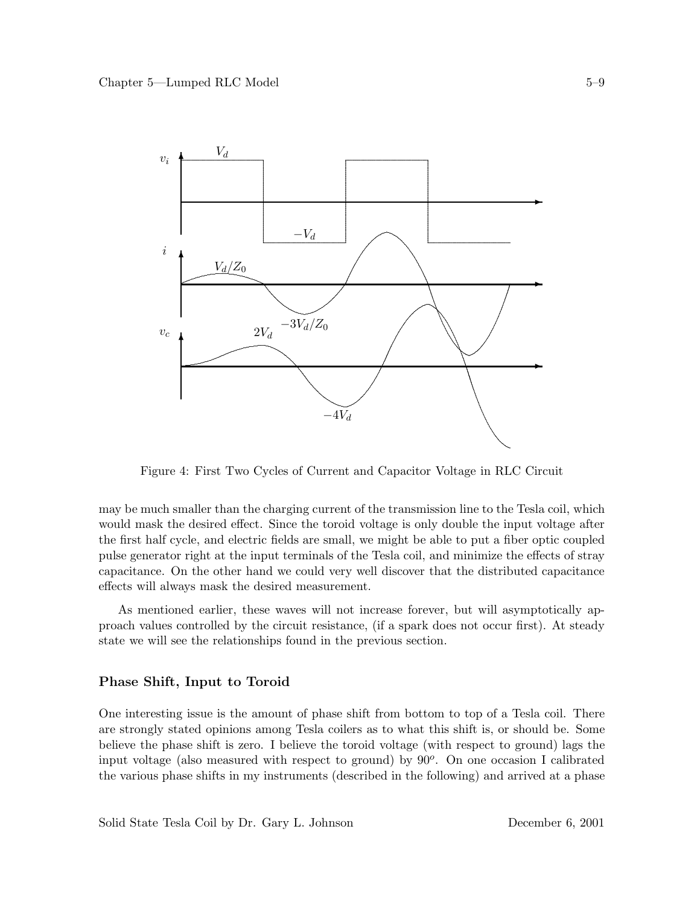

Figure 4: First Two Cycles of Current and Capacitor Voltage in RLC Circuit

may be much smaller than the charging current of the transmission line to the Tesla coil, which would mask the desired effect. Since the toroid voltage is only double the input voltage after the first half cycle, and electric fields are small, we might be able to put a fiber optic coupled pulse generator right at the input terminals of the Tesla coil, and minimize the effects of stray capacitance. On the other hand we could very well discover that the distributed capacitance effects will always mask the desired measurement.

As mentioned earlier, these waves will not increase forever, but will asymptotically approach values controlled by the circuit resistance, (if a spark does not occur first). At steady state we will see the relationships found in the previous section.

### Phase Shift, Input to Toroid

One interesting issue is the amount of phase shift from bottom to top of a Tesla coil. There are strongly stated opinions among Tesla coilers as to what this shift is, or should be. Some believe the phase shift is zero. I believe the toroid voltage (with respect to ground) lags the input voltage (also measured with respect to ground) by  $90^{\circ}$ . On one occasion I calibrated the various phase shifts in my instruments (described in the following) and arrived at a phase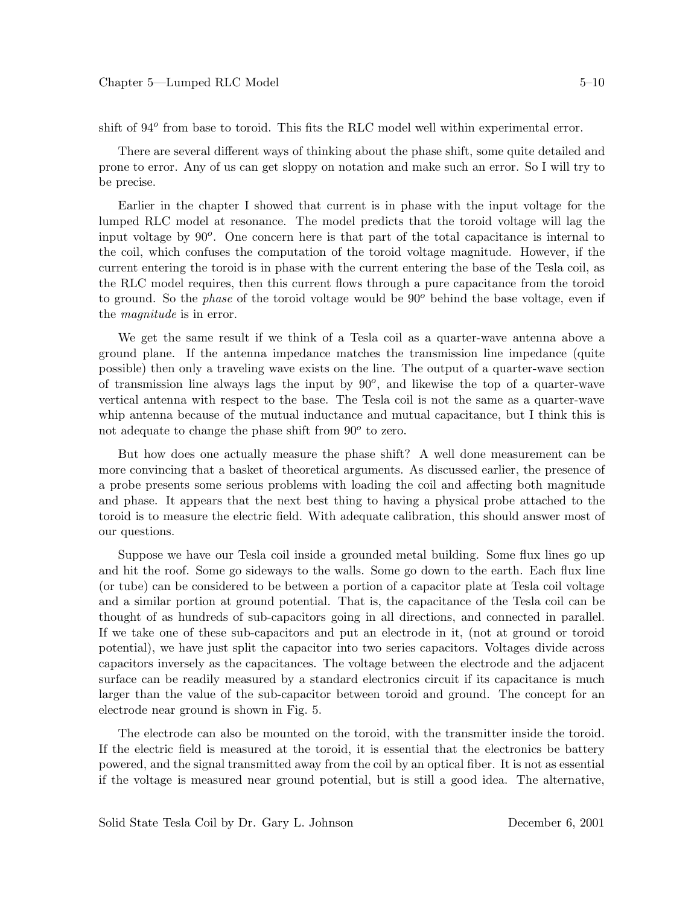shift of 94*<sup>o</sup>* from base to toroid. This fits the RLC model well within experimental error.

There are several different ways of thinking about the phase shift, some quite detailed and prone to error. Any of us can get sloppy on notation and make such an error. So I will try to be precise.

Earlier in the chapter I showed that current is in phase with the input voltage for the lumped RLC model at resonance. The model predicts that the toroid voltage will lag the input voltage by 90*o*. One concern here is that part of the total capacitance is internal to the coil, which confuses the computation of the toroid voltage magnitude. However, if the current entering the toroid is in phase with the current entering the base of the Tesla coil, as the RLC model requires, then this current flows through a pure capacitance from the toroid to ground. So the *phase* of the toroid voltage would be 90*<sup>o</sup>* behind the base voltage, even if the *magnitude* is in error.

We get the same result if we think of a Tesla coil as a quarter-wave antenna above a ground plane. If the antenna impedance matches the transmission line impedance (quite possible) then only a traveling wave exists on the line. The output of a quarter-wave section of transmission line always lags the input by 90*o*, and likewise the top of a quarter-wave vertical antenna with respect to the base. The Tesla coil is not the same as a quarter-wave whip antenna because of the mutual inductance and mutual capacitance, but I think this is not adequate to change the phase shift from 90*<sup>o</sup>* to zero.

But how does one actually measure the phase shift? A well done measurement can be more convincing that a basket of theoretical arguments. As discussed earlier, the presence of a probe presents some serious problems with loading the coil and affecting both magnitude and phase. It appears that the next best thing to having a physical probe attached to the toroid is to measure the electric field. With adequate calibration, this should answer most of our questions.

Suppose we have our Tesla coil inside a grounded metal building. Some flux lines go up and hit the roof. Some go sideways to the walls. Some go down to the earth. Each flux line (or tube) can be considered to be between a portion of a capacitor plate at Tesla coil voltage and a similar portion at ground potential. That is, the capacitance of the Tesla coil can be thought of as hundreds of sub-capacitors going in all directions, and connected in parallel. If we take one of these sub-capacitors and put an electrode in it, (not at ground or toroid potential), we have just split the capacitor into two series capacitors. Voltages divide across capacitors inversely as the capacitances. The voltage between the electrode and the adjacent surface can be readily measured by a standard electronics circuit if its capacitance is much larger than the value of the sub-capacitor between toroid and ground. The concept for an electrode near ground is shown in Fig. 5.

The electrode can also be mounted on the toroid, with the transmitter inside the toroid. If the electric field is measured at the toroid, it is essential that the electronics be battery powered, and the signal transmitted away from the coil by an optical fiber. It is not as essential if the voltage is measured near ground potential, but is still a good idea. The alternative,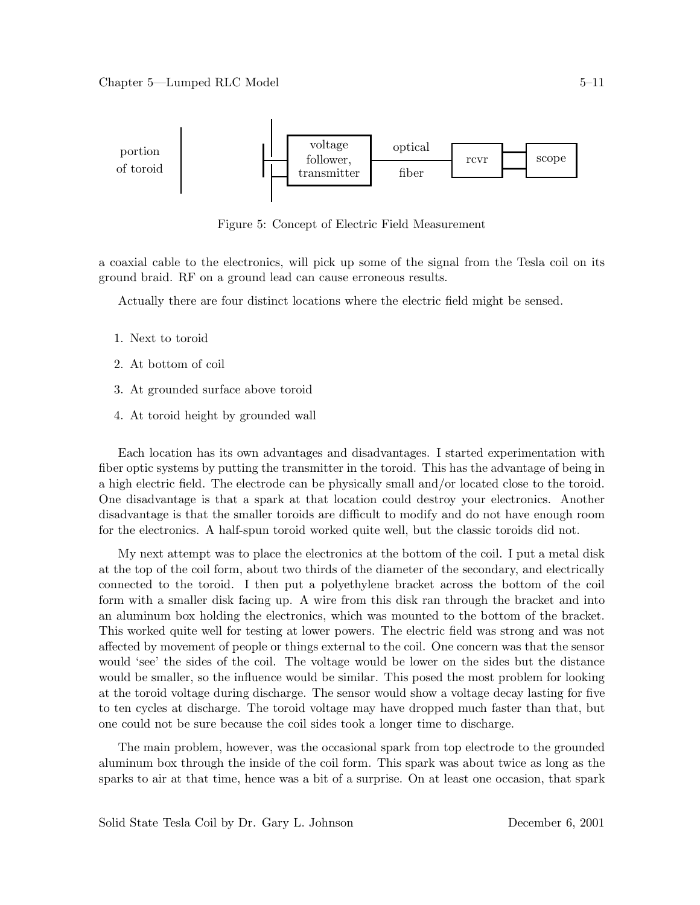

Figure 5: Concept of Electric Field Measurement

a coaxial cable to the electronics, will pick up some of the signal from the Tesla coil on its ground braid. RF on a ground lead can cause erroneous results.

Actually there are four distinct locations where the electric field might be sensed.

- 1. Next to toroid
- 2. At bottom of coil
- 3. At grounded surface above toroid
- 4. At toroid height by grounded wall

Each location has its own advantages and disadvantages. I started experimentation with fiber optic systems by putting the transmitter in the toroid. This has the advantage of being in a high electric field. The electrode can be physically small and/or located close to the toroid. One disadvantage is that a spark at that location could destroy your electronics. Another disadvantage is that the smaller toroids are difficult to modify and do not have enough room for the electronics. A half-spun toroid worked quite well, but the classic toroids did not.

My next attempt was to place the electronics at the bottom of the coil. I put a metal disk at the top of the coil form, about two thirds of the diameter of the secondary, and electrically connected to the toroid. I then put a polyethylene bracket across the bottom of the coil form with a smaller disk facing up. A wire from this disk ran through the bracket and into an aluminum box holding the electronics, which was mounted to the bottom of the bracket. This worked quite well for testing at lower powers. The electric field was strong and was not affected by movement of people or things external to the coil. One concern was that the sensor would 'see' the sides of the coil. The voltage would be lower on the sides but the distance would be smaller, so the influence would be similar. This posed the most problem for looking at the toroid voltage during discharge. The sensor would show a voltage decay lasting for five to ten cycles at discharge. The toroid voltage may have dropped much faster than that, but one could not be sure because the coil sides took a longer time to discharge.

The main problem, however, was the occasional spark from top electrode to the grounded aluminum box through the inside of the coil form. This spark was about twice as long as the sparks to air at that time, hence was a bit of a surprise. On at least one occasion, that spark